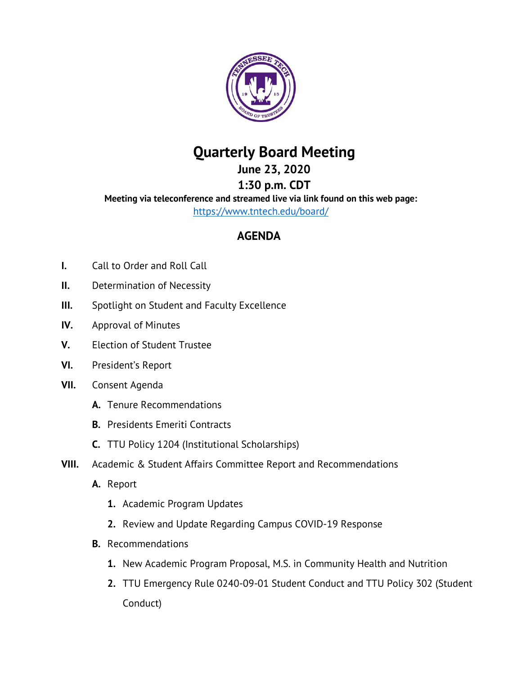

## **Quarterly Board Meeting**

**June 23, 2020**

**1:30 p.m. CDT Meeting via teleconference and streamed live via link found on this web page:** <https://www.tntech.edu/board/>

## **AGENDA**

- **I.** Call to Order and Roll Call
- **II.** Determination of Necessity
- **III.** Spotlight on Student and Faculty Excellence
- **IV.** Approval of Minutes
- **V.** Election of Student Trustee
- **VI.** President's Report
- **VII.** Consent Agenda
	- **A.** Tenure Recommendations
	- **B.** Presidents Emeriti Contracts
	- **C.** TTU Policy 1204 (Institutional Scholarships)
- **VIII.** Academic & Student Affairs Committee Report and Recommendations
	- **A.** Report
		- **1.** Academic Program Updates
		- **2.** Review and Update Regarding Campus COVID-19 Response
	- **B.** Recommendations
		- **1.** New Academic Program Proposal, M.S. in Community Health and Nutrition
		- **2.** TTU Emergency Rule 0240-09-01 Student Conduct and TTU Policy 302 (Student Conduct)